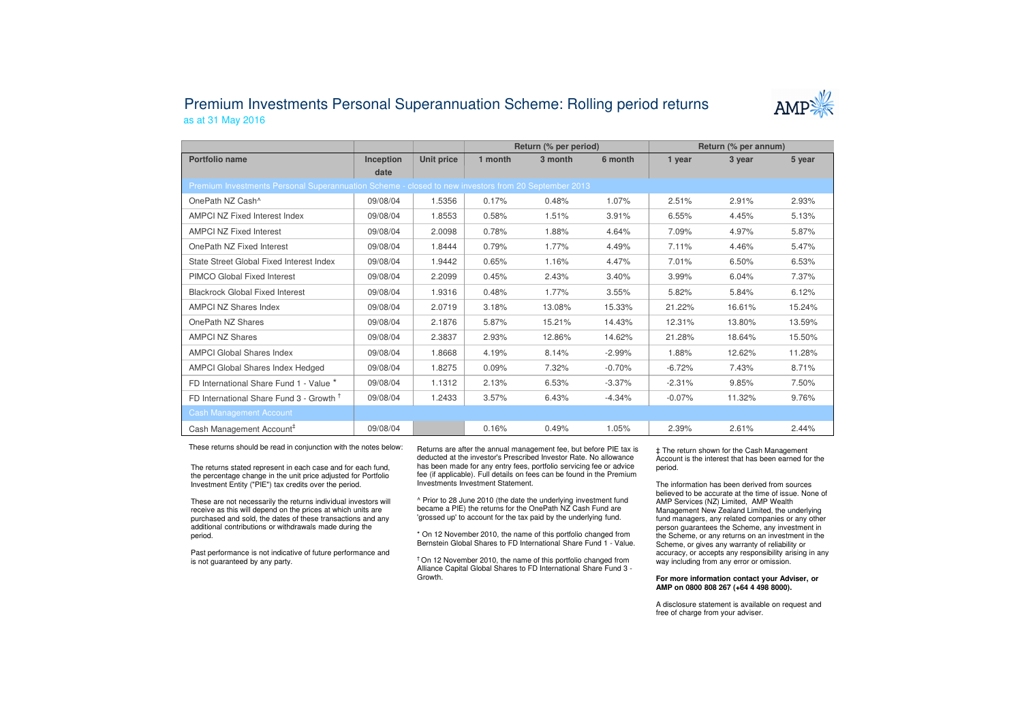## Premium Investments Personal Superannuation Scheme: Rolling period returnsas at 31 May 2016



|                                                                                                     |           |            | Return (% per period) |         |          | Return (% per annum) |        |        |  |  |  |
|-----------------------------------------------------------------------------------------------------|-----------|------------|-----------------------|---------|----------|----------------------|--------|--------|--|--|--|
| Portfolio name                                                                                      | Inception | Unit price | 1 month               | 3 month | 6 month  | 1 year               | 3 year | 5 year |  |  |  |
|                                                                                                     | date      |            |                       |         |          |                      |        |        |  |  |  |
| Premium Investments Personal Superannuation Scheme - closed to new investors from 20 September 2013 |           |            |                       |         |          |                      |        |        |  |  |  |
| OnePath NZ Cash <sup>^</sup>                                                                        | 09/08/04  | 1.5356     | 0.17%                 | 0.48%   | 1.07%    | 2.51%                | 2.91%  | 2.93%  |  |  |  |
| <b>AMPCI NZ Fixed Interest Index</b>                                                                | 09/08/04  | 1.8553     | 0.58%                 | 1.51%   | 3.91%    | 6.55%                | 4.45%  | 5.13%  |  |  |  |
| <b>AMPCI NZ Fixed Interest</b>                                                                      | 09/08/04  | 2.0098     | 0.78%                 | 1.88%   | 4.64%    | 7.09%                | 4.97%  | 5.87%  |  |  |  |
| OnePath NZ Fixed Interest                                                                           | 09/08/04  | 1.8444     | 0.79%                 | 1.77%   | 4.49%    | 7.11%                | 4.46%  | 5.47%  |  |  |  |
| State Street Global Fixed Interest Index                                                            | 09/08/04  | 1.9442     | 0.65%                 | 1.16%   | 4.47%    | 7.01%                | 6.50%  | 6.53%  |  |  |  |
| PIMCO Global Fixed Interest                                                                         | 09/08/04  | 2.2099     | 0.45%                 | 2.43%   | 3.40%    | 3.99%                | 6.04%  | 7.37%  |  |  |  |
| <b>Blackrock Global Fixed Interest</b>                                                              | 09/08/04  | 1.9316     | 0.48%                 | 1.77%   | 3.55%    | 5.82%                | 5.84%  | 6.12%  |  |  |  |
| <b>AMPCI NZ Shares Index</b>                                                                        | 09/08/04  | 2.0719     | 3.18%                 | 13.08%  | 15.33%   | 21.22%               | 16.61% | 15.24% |  |  |  |
| OnePath NZ Shares                                                                                   | 09/08/04  | 2.1876     | 5.87%                 | 15.21%  | 14.43%   | 12.31%               | 13.80% | 13.59% |  |  |  |
| <b>AMPCI NZ Shares</b>                                                                              | 09/08/04  | 2.3837     | 2.93%                 | 12.86%  | 14.62%   | 21.28%               | 18.64% | 15.50% |  |  |  |
| <b>AMPCI Global Shares Index</b>                                                                    | 09/08/04  | 1.8668     | 4.19%                 | 8.14%   | $-2.99%$ | 1.88%                | 12.62% | 11.28% |  |  |  |
| AMPCI Global Shares Index Hedged                                                                    | 09/08/04  | 1.8275     | 0.09%                 | 7.32%   | $-0.70%$ | $-6.72%$             | 7.43%  | 8.71%  |  |  |  |
| FD International Share Fund 1 - Value *                                                             | 09/08/04  | 1.1312     | 2.13%                 | 6.53%   | $-3.37%$ | $-2.31%$             | 9.85%  | 7.50%  |  |  |  |
| FD International Share Fund 3 - Growth <sup>T</sup>                                                 | 09/08/04  | 1.2433     | 3.57%                 | 6.43%   | $-4.34%$ | $-0.07%$             | 11.32% | 9.76%  |  |  |  |
| <b>Cash Management Account</b>                                                                      |           |            |                       |         |          |                      |        |        |  |  |  |
| Cash Management Account <sup>#</sup>                                                                | 09/08/04  |            | 0.16%                 | 0.49%   | 1.05%    | 2.39%                | 2.61%  | 2.44%  |  |  |  |

These returns should be read in conjunction with the notes below:

The returns stated represent in each case and for each fund, the percentage change in the unit price adjusted for Portfolio Investment Entity ("PIE") tax credits over the period.

These are not necessarily the returns individual investors will receive as this will depend on the prices at which units are purchased and sold, the dates of these transactions and any additional contributions or withdrawals made during the period.

Past performance is not indicative of future performance and is not guaranteed by any party.

Returns are after the annual management fee, but before PIE tax is deducted at the investor's Prescribed Investor Rate. No allowance has been made for any entry fees, portfolio servicing fee or advice fee (if applicable). Full details on fees can be found in the Premium Investments Investment Statement.

^ Prior to 28 June 2010 (the date the underlying investment fund became a PIE) the returns for the OnePath NZ Cash Fund are 'grossed up' to account for the tax paid by the underlying fund.

\* On 12 November 2010, the name of this portfolio changed from Bernstein Global Shares to FD International Share Fund 1 - Value.

† On 12 November 2010, the name of this portfolio changed from Alliance Capital Global Shares to FD International Share Fund 3 -Growth.

‡ The return shown for the Cash Management Account is the interest that has been earned for the period.

The information has been derived from sources believed to be accurate at the time of issue. None of AMP Services (NZ) Limited, AMP Wealth Management New Zealand Limited, the underlying fund managers, any related companies or any other person guarantees the Scheme, any investment in the Scheme, or any returns on an investment in the Scheme, or gives any warranty of reliability or accuracy, or accepts any responsibility arising in any way including from any error or omission.

## **For more information contact your Adviser, or AMP on 0800 808 267 (+64 4 498 8000).**

A disclosure statement is available on request and free of charge from your adviser.